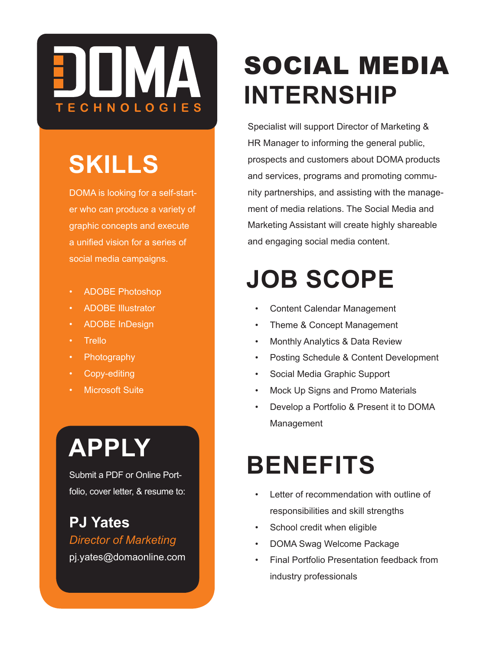

#### **SKILLS**

DOMA is looking for a self-starter who can produce a variety of graphic concepts and execute a unified vision for a series of social media campaigns.

- ADOBE Photoshop
- ADOBE Illustrator
- ADOBE InDesign
- Trello
- Photography
- Copy-editing
- **Microsoft Suite**

# **APPLY**

Submit a PDF or Online Portfolio, cover letter, & resume to:

**PJ Yates** *Director of Marketing* pj.yates@domaonline.com

# SOCIAL MEDIA **INTERNSHIP**

Specialist will support Director of Marketing & HR Manager to informing the general public, prospects and customers about DOMA products and services, programs and promoting community partnerships, and assisting with the management of media relations. The Social Media and Marketing Assistant will create highly shareable and engaging social media content.

#### **JOB SCOPE**

- Content Calendar Management
- Theme & Concept Management
- Monthly Analytics & Data Review
- Posting Schedule & Content Development
- Social Media Graphic Support
- Mock Up Signs and Promo Materials
- Develop a Portfolio & Present it to DOMA Management

#### **BENEFITS**

- Letter of recommendation with outline of responsibilities and skill strengths
- School credit when eligible
- DOMA Swag Welcome Package
- Final Portfolio Presentation feedback from industry professionals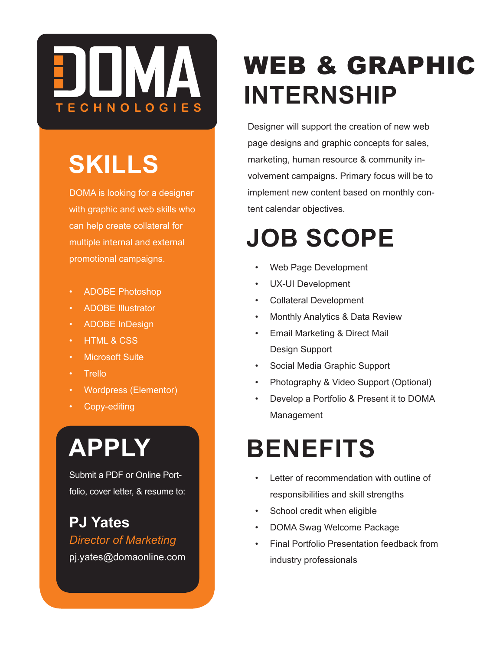

### **SKILLS**

DOMA is looking for a designer with graphic and web skills who can help create collateral for multiple internal and external promotional campaigns.

- ADOBE Photoshop
- ADOBE Illustrator
- ADOBE InDesign
- **HTML & CSS**
- **Microsoft Suite**
- Trello
- Wordpress (Elementor)
- Copy-editing

# **APPLY**

Submit a PDF or Online Portfolio, cover letter, & resume to:

**PJ Yates** *Director of Marketing* pj.yates@domaonline.com

## WEB & GRAPHIC **INTERNSHIP**

Designer will support the creation of new web page designs and graphic concepts for sales, marketing, human resource & community involvement campaigns. Primary focus will be to implement new content based on monthly content calendar objectives.

#### **JOB SCOPE**

- Web Page Development
- UX-UI Development
- Collateral Development
- Monthly Analytics & Data Review
- Email Marketing & Direct Mail Design Support
- Social Media Graphic Support
- Photography & Video Support (Optional)
- Develop a Portfolio & Present it to DOMA Management

## **BENEFITS**

- Letter of recommendation with outline of responsibilities and skill strengths
- School credit when eligible
- DOMA Swag Welcome Package
- Final Portfolio Presentation feedback from industry professionals